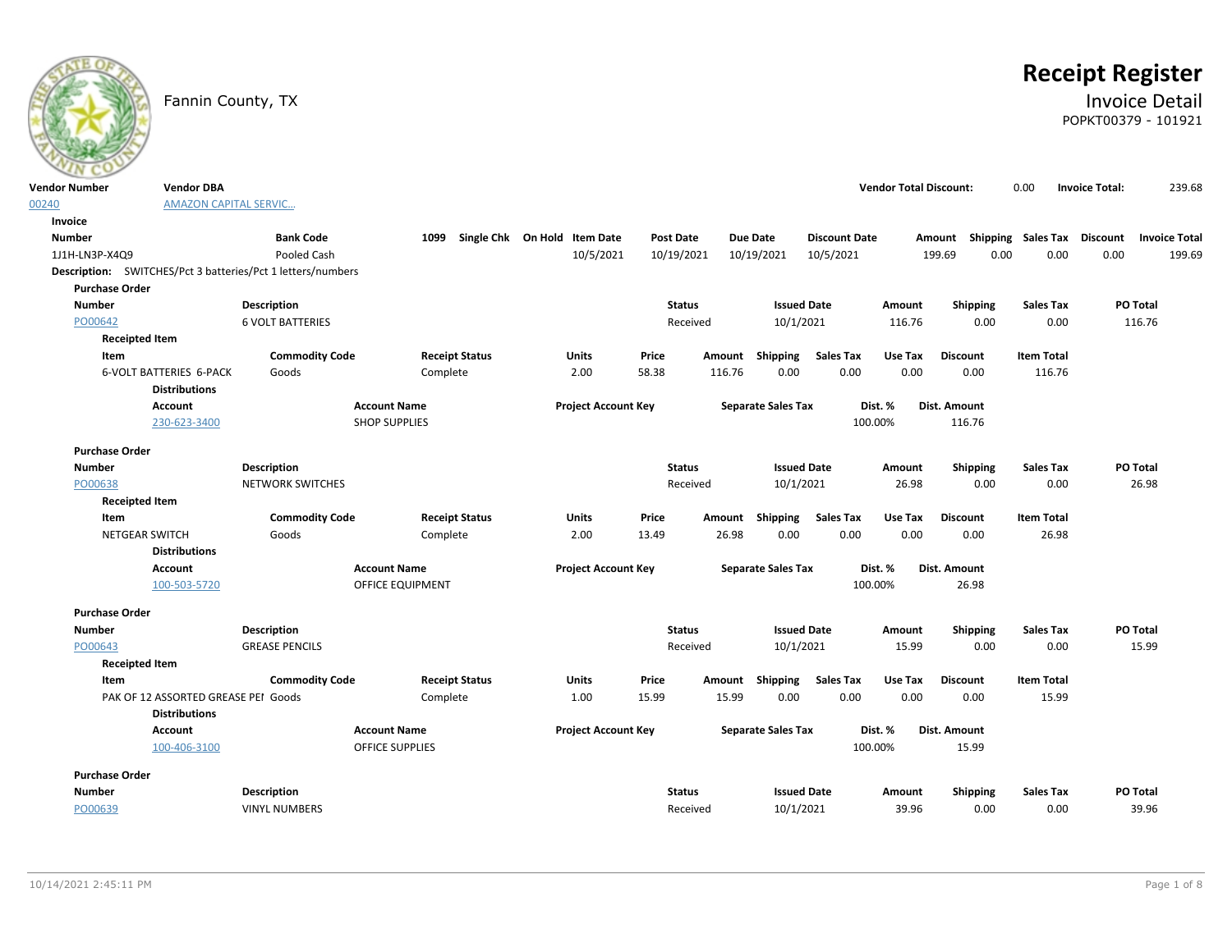# **Receipt Register**

### Fannin County, TX **Invoice Detail** POPKT00379 - 101921

| <b>Vendor Number</b><br><b>Vendor DBA</b>                                                                                         | <b>Vendor Total Discount:</b> |                                    | 0.00              | 239.68<br><b>Invoice Total:</b> |
|-----------------------------------------------------------------------------------------------------------------------------------|-------------------------------|------------------------------------|-------------------|---------------------------------|
| <b>AMAZON CAPITAL SERVIC</b><br>00240                                                                                             |                               |                                    |                   |                                 |
| Invoice                                                                                                                           |                               |                                    |                   |                                 |
| <b>Number</b><br><b>Bank Code</b><br>Single Chk On Hold Item Date<br>Post Date<br><b>Due Date</b><br><b>Discount Date</b><br>1099 |                               | Amount Shipping Sales Tax Discount |                   | <b>Invoice Total</b>            |
| 10/5/2021<br>10/19/2021<br>10/5/2021<br>1J1H-LN3P-X4Q9<br>Pooled Cash<br>10/19/2021                                               |                               | 199.69<br>0.00                     | 0.00              | 0.00<br>199.69                  |
| Description: SWITCHES/Pct 3 batteries/Pct 1 letters/numbers                                                                       |                               |                                    |                   |                                 |
| <b>Purchase Order</b>                                                                                                             |                               |                                    |                   |                                 |
| <b>Number</b><br><b>Description</b><br><b>Status</b><br><b>Issued Date</b>                                                        | Amount                        | <b>Shipping</b>                    | <b>Sales Tax</b>  | <b>PO Total</b>                 |
| 10/1/2021<br>PO00642<br><b>6 VOLT BATTERIES</b><br>Received                                                                       | 116.76                        | 0.00                               | 0.00              | 116.76                          |
| <b>Receipted Item</b>                                                                                                             |                               |                                    |                   |                                 |
| <b>Sales Tax</b><br>Item<br><b>Commodity Code</b><br><b>Receipt Status</b><br><b>Units</b><br>Price<br>Amount Shipping            | Use Tax                       | <b>Discount</b>                    | <b>Item Total</b> |                                 |
| <b>6-VOLT BATTERIES 6-PACK</b><br>2.00<br>58.38<br>116.76<br>0.00<br>Goods<br>Complete                                            | 0.00<br>0.00                  | 0.00                               | 116.76            |                                 |
| <b>Distributions</b>                                                                                                              |                               |                                    |                   |                                 |
| <b>Account Name</b><br><b>Project Account Key</b><br><b>Separate Sales Tax</b><br><b>Account</b>                                  | Dist. %                       | Dist. Amount                       |                   |                                 |
| 230-623-3400<br><b>SHOP SUPPLIES</b>                                                                                              | 100.00%                       | 116.76                             |                   |                                 |
| <b>Purchase Order</b>                                                                                                             |                               |                                    |                   |                                 |
| <b>Number</b><br><b>Description</b><br><b>Status</b><br><b>Issued Date</b>                                                        | Amount                        | <b>Shipping</b>                    | <b>Sales Tax</b>  | <b>PO Total</b>                 |
| PO00638<br><b>NETWORK SWITCHES</b><br>Received<br>10/1/2021                                                                       | 26.98                         | 0.00                               | 0.00              | 26.98                           |
| <b>Receipted Item</b>                                                                                                             |                               |                                    |                   |                                 |
| <b>Commodity Code</b><br>Item<br><b>Receipt Status</b><br><b>Units</b><br>Price<br>Amount Shipping<br><b>Sales Tax</b>            | Use Tax                       | <b>Discount</b>                    | <b>Item Total</b> |                                 |
| 0.00<br><b>NETGEAR SWITCH</b><br>Goods<br>2.00<br>13.49<br>26.98<br>Complete                                                      | 0.00<br>0.00                  | 0.00                               | 26.98             |                                 |
| <b>Distributions</b>                                                                                                              |                               |                                    |                   |                                 |
| <b>Account Name</b><br><b>Project Account Key</b><br><b>Separate Sales Tax</b><br><b>Account</b>                                  | Dist. %                       | Dist. Amount                       |                   |                                 |
| OFFICE EQUIPMENT<br>100-503-5720                                                                                                  | 100.00%                       | 26.98                              |                   |                                 |
| <b>Purchase Order</b>                                                                                                             |                               |                                    |                   |                                 |
| <b>Number</b><br><b>Status</b><br><b>Issued Date</b><br>Description                                                               | Amount                        | Shipping                           | <b>Sales Tax</b>  | PO Total                        |
| PO00643<br><b>GREASE PENCILS</b><br>Received<br>10/1/2021                                                                         | 15.99                         | 0.00                               | 0.00              | 15.99                           |
| <b>Receipted Item</b>                                                                                                             |                               |                                    |                   |                                 |
| Item<br><b>Commodity Code</b><br><b>Receipt Status</b><br><b>Units</b><br>Price<br>Shipping<br><b>Sales Tax</b><br>Amount         | Use Tax                       | <b>Discount</b>                    | <b>Item Total</b> |                                 |
| PAK OF 12 ASSORTED GREASE PEI Goods<br>15.99<br>15.99<br>0.00<br>Complete<br>1.00                                                 | 0.00<br>0.00                  | 0.00                               | 15.99             |                                 |
| <b>Distributions</b>                                                                                                              |                               |                                    |                   |                                 |
| <b>Account Name</b><br><b>Project Account Key</b><br><b>Separate Sales Tax</b><br>Account                                         | Dist. %                       | Dist. Amount                       |                   |                                 |
| <b>OFFICE SUPPLIES</b><br>100-406-3100                                                                                            |                               |                                    |                   |                                 |
|                                                                                                                                   | 100.00%                       | 15.99                              |                   |                                 |
| <b>Purchase Order</b>                                                                                                             |                               |                                    |                   |                                 |
| <b>Number</b><br><b>Description</b><br><b>Status</b><br><b>Issued Date</b>                                                        | Amount                        | <b>Shipping</b>                    | <b>Sales Tax</b>  | PO Total                        |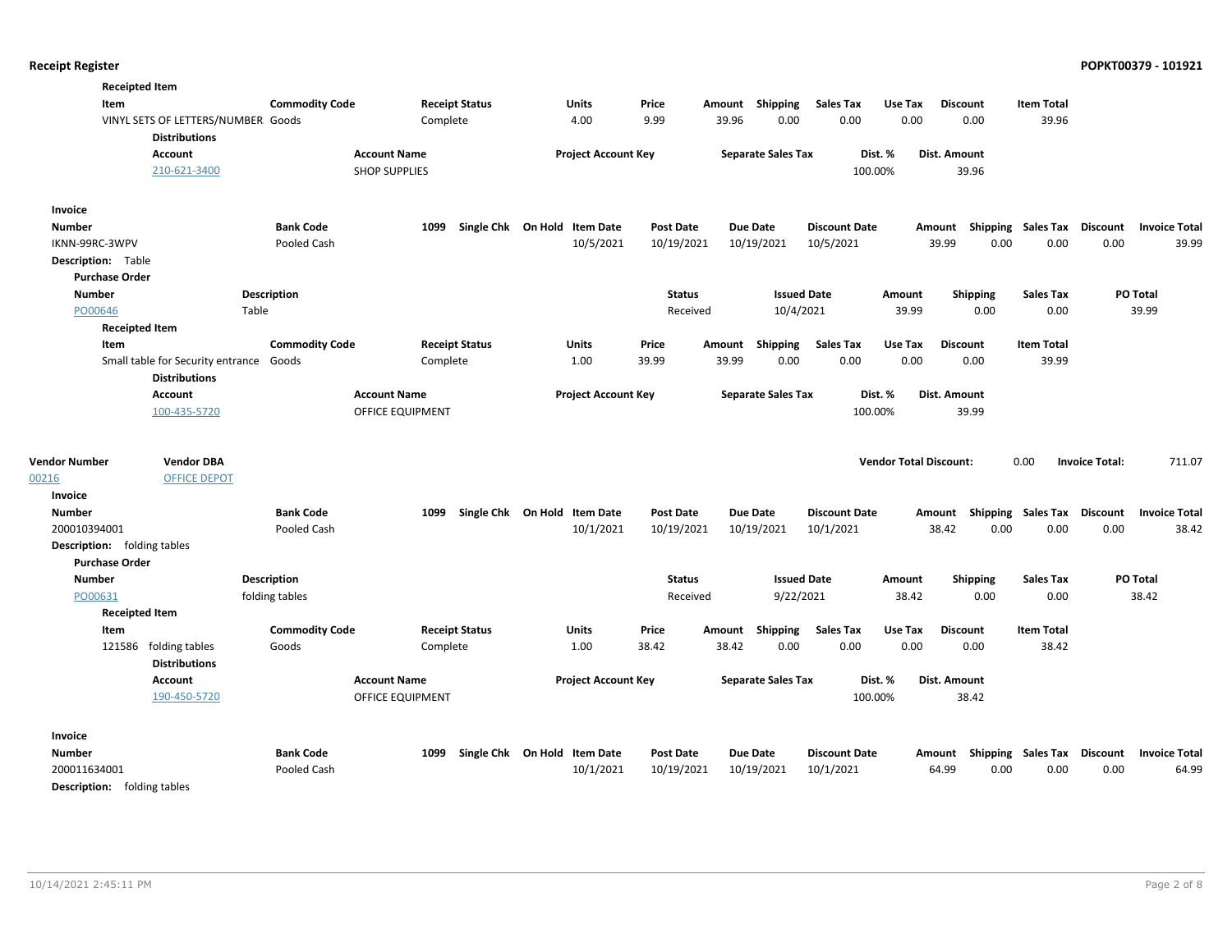| <b>Receipted Item</b>                                                     |                       |                       |                              |               |                           |                      |                               |                                    |                   |                       |                      |
|---------------------------------------------------------------------------|-----------------------|-----------------------|------------------------------|---------------|---------------------------|----------------------|-------------------------------|------------------------------------|-------------------|-----------------------|----------------------|
| Item                                                                      | <b>Commodity Code</b> | <b>Receipt Status</b> | Units                        | Price         | Amount Shipping           | <b>Sales Tax</b>     | Use Tax                       | <b>Discount</b>                    | <b>Item Total</b> |                       |                      |
| VINYL SETS OF LETTERS/NUMBER Goods<br><b>Distributions</b>                |                       | Complete              | 4.00                         | 9.99          | 39.96<br>0.00             | 0.00                 | 0.00                          | 0.00                               | 39.96             |                       |                      |
| Account                                                                   |                       | <b>Account Name</b>   | <b>Project Account Key</b>   |               | <b>Separate Sales Tax</b> |                      | Dist. %                       | <b>Dist. Amount</b>                |                   |                       |                      |
| 210-621-3400                                                              |                       | <b>SHOP SUPPLIES</b>  |                              |               |                           |                      | 100.00%                       | 39.96                              |                   |                       |                      |
| Invoice                                                                   |                       |                       |                              |               |                           |                      |                               |                                    |                   |                       |                      |
| <b>Number</b>                                                             | <b>Bank Code</b>      | 1099                  | Single Chk On Hold Item Date | Post Date     | <b>Due Date</b>           | <b>Discount Date</b> |                               | Amount Shipping Sales Tax Discount |                   |                       | <b>Invoice Total</b> |
| IKNN-99RC-3WPV                                                            | Pooled Cash           |                       | 10/5/2021                    | 10/19/2021    | 10/19/2021                | 10/5/2021            |                               | 39.99<br>0.00                      | 0.00              | 0.00                  | 39.99                |
| <b>Description:</b> Table                                                 |                       |                       |                              |               |                           |                      |                               |                                    |                   |                       |                      |
| <b>Purchase Order</b>                                                     |                       |                       |                              |               |                           |                      |                               |                                    |                   |                       |                      |
| <b>Number</b>                                                             | <b>Description</b>    |                       |                              | <b>Status</b> |                           | <b>Issued Date</b>   | Amount                        | <b>Shipping</b>                    | <b>Sales Tax</b>  | <b>PO Total</b>       |                      |
| PO00646                                                                   | Table                 |                       |                              | Received      |                           | 10/4/2021            | 39.99                         | 0.00                               | 0.00              | 39.99                 |                      |
| <b>Receipted Item</b>                                                     |                       |                       |                              |               |                           |                      |                               |                                    |                   |                       |                      |
| Item                                                                      | <b>Commodity Code</b> | <b>Receipt Status</b> | <b>Units</b>                 | Price         | Amount<br>Shipping        | <b>Sales Tax</b>     | Use Tax                       | <b>Discount</b>                    | <b>Item Total</b> |                       |                      |
| Small table for Security entrance Goods                                   |                       | Complete              | 1.00                         | 39.99         | 39.99<br>0.00             | 0.00                 | 0.00                          | 0.00                               | 39.99             |                       |                      |
| <b>Distributions</b>                                                      |                       |                       |                              |               |                           |                      |                               |                                    |                   |                       |                      |
| <b>Account</b>                                                            |                       | <b>Account Name</b>   | <b>Project Account Key</b>   |               | <b>Separate Sales Tax</b> |                      | Dist. %                       | Dist. Amount                       |                   |                       |                      |
| 100-435-5720                                                              |                       | OFFICE EQUIPMENT      |                              |               |                           |                      | 100.00%                       | 39.99                              |                   |                       |                      |
| <b>Vendor Number</b><br><b>Vendor DBA</b><br>00216<br><b>OFFICE DEPOT</b> |                       |                       |                              |               |                           |                      | <b>Vendor Total Discount:</b> |                                    | 0.00              | <b>Invoice Total:</b> | 711.07               |
| Invoice                                                                   |                       |                       |                              |               |                           |                      |                               |                                    |                   |                       |                      |
| <b>Number</b>                                                             | <b>Bank Code</b>      | 1099                  | Single Chk On Hold Item Date | Post Date     | <b>Due Date</b>           | <b>Discount Date</b> |                               | Amount Shipping Sales Tax Discount |                   |                       | <b>Invoice Total</b> |
| 200010394001                                                              | Pooled Cash           |                       | 10/1/2021                    | 10/19/2021    | 10/19/2021                | 10/1/2021            |                               | 38.42<br>0.00                      | 0.00              | 0.00                  | 38.42                |
| <b>Description:</b> folding tables                                        |                       |                       |                              |               |                           |                      |                               |                                    |                   |                       |                      |
| <b>Purchase Order</b>                                                     |                       |                       |                              |               |                           |                      |                               |                                    |                   |                       |                      |
| <b>Number</b>                                                             | <b>Description</b>    |                       |                              | <b>Status</b> |                           | <b>Issued Date</b>   | Amount                        | <b>Shipping</b>                    | <b>Sales Tax</b>  | <b>PO Total</b>       |                      |
| PO00631                                                                   | folding tables        |                       |                              | Received      |                           | 9/22/2021            | 38.42                         | 0.00                               | 0.00              | 38.42                 |                      |
| <b>Receipted Item</b>                                                     |                       |                       |                              |               |                           |                      |                               |                                    |                   |                       |                      |
| Item                                                                      | <b>Commodity Code</b> | <b>Receipt Status</b> | <b>Units</b>                 | Price         | Amount<br>Shipping        | <b>Sales Tax</b>     | Use Tax                       | <b>Discount</b>                    | <b>Item Total</b> |                       |                      |
| 121586 folding tables                                                     | Goods                 | Complete              | 1.00                         | 38.42         | 38.42<br>0.00             | 0.00                 | 0.00                          | 0.00                               | 38.42             |                       |                      |
| <b>Distributions</b>                                                      |                       |                       |                              |               |                           |                      |                               |                                    |                   |                       |                      |
| Account                                                                   |                       | <b>Account Name</b>   | <b>Project Account Key</b>   |               | <b>Separate Sales Tax</b> |                      | Dist. %                       | Dist. Amount                       |                   |                       |                      |
| 190-450-5720                                                              |                       | OFFICE EQUIPMENT      |                              |               |                           |                      | 100.00%                       | 38.42                              |                   |                       |                      |
| Invoice                                                                   |                       |                       |                              |               |                           |                      |                               |                                    |                   |                       |                      |
| <b>Number</b>                                                             | <b>Bank Code</b>      | 1099                  | Single Chk On Hold Item Date | Post Date     | <b>Due Date</b>           | <b>Discount Date</b> |                               | Amount Shipping Sales Tax Discount |                   |                       | <b>Invoice Total</b> |
| 200011634001                                                              | Pooled Cash           |                       | 10/1/2021                    | 10/19/2021    | 10/19/2021                | 10/1/2021            |                               | 64.99<br>0.00                      | 0.00              | 0.00                  | 64.99                |
| <b>Description:</b> folding tables                                        |                       |                       |                              |               |                           |                      |                               |                                    |                   |                       |                      |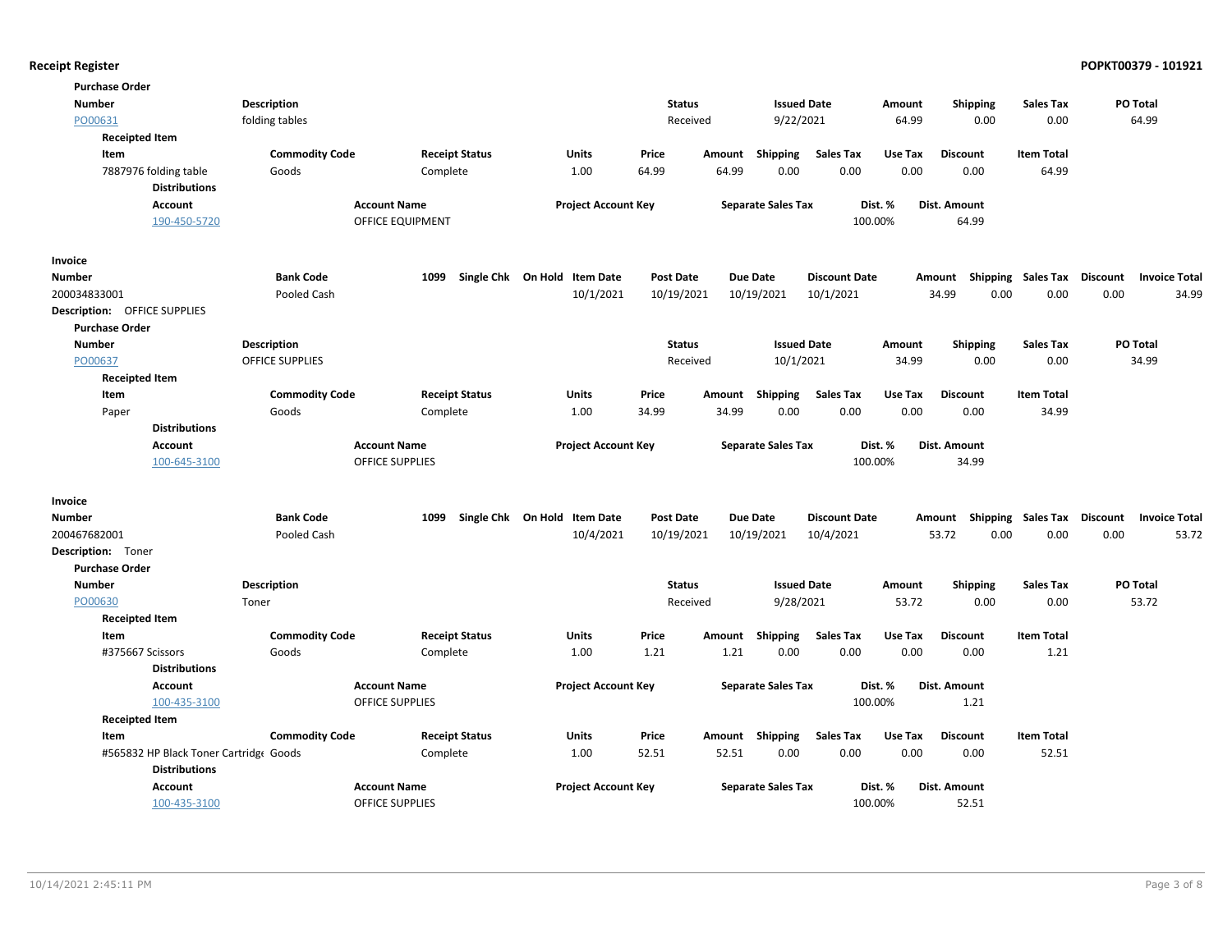| <b>Purchase Order</b>               |                                        |                        |                              |                  |        |                           |                      |         |                           |                   |                 |                      |
|-------------------------------------|----------------------------------------|------------------------|------------------------------|------------------|--------|---------------------------|----------------------|---------|---------------------------|-------------------|-----------------|----------------------|
| <b>Number</b>                       | <b>Description</b>                     |                        |                              | <b>Status</b>    |        | <b>Issued Date</b>        |                      | Amount  | <b>Shipping</b>           | <b>Sales Tax</b>  | PO Total        |                      |
| PO00631                             | folding tables                         |                        |                              | Received         |        | 9/22/2021                 |                      | 64.99   | 0.00                      | 0.00              |                 | 64.99                |
| <b>Receipted Item</b>               |                                        |                        |                              |                  |        |                           |                      |         |                           |                   |                 |                      |
| Item                                | <b>Commodity Code</b>                  | <b>Receipt Status</b>  | <b>Units</b>                 | Price            | Amount | Shipping                  | <b>Sales Tax</b>     | Use Tax | <b>Discount</b>           | <b>Item Total</b> |                 |                      |
| 7887976 folding table               | Goods                                  | Complete               | 1.00                         | 64.99            | 64.99  | 0.00                      | 0.00                 | 0.00    | 0.00                      | 64.99             |                 |                      |
|                                     | <b>Distributions</b>                   |                        |                              |                  |        |                           |                      |         |                           |                   |                 |                      |
| <b>Account</b>                      |                                        | <b>Account Name</b>    | <b>Project Account Key</b>   |                  |        | <b>Separate Sales Tax</b> |                      | Dist. % | Dist. Amount              |                   |                 |                      |
|                                     | 190-450-5720                           | OFFICE EQUIPMENT       |                              |                  |        |                           | 100.00%              |         | 64.99                     |                   |                 |                      |
| Invoice                             |                                        |                        |                              |                  |        |                           |                      |         |                           |                   |                 |                      |
| <b>Number</b>                       | <b>Bank Code</b>                       | 1099                   | Single Chk On Hold Item Date | <b>Post Date</b> |        | <b>Due Date</b>           | <b>Discount Date</b> |         | Shipping<br>Amount        | Sales Tax         | <b>Discount</b> | <b>Invoice Total</b> |
| 200034833001                        | Pooled Cash                            |                        | 10/1/2021                    | 10/19/2021       |        | 10/19/2021                | 10/1/2021            |         | 34.99<br>0.00             | 0.00              | 0.00            | 34.99                |
| <b>Description: OFFICE SUPPLIES</b> |                                        |                        |                              |                  |        |                           |                      |         |                           |                   |                 |                      |
| <b>Purchase Order</b>               |                                        |                        |                              |                  |        |                           |                      |         |                           |                   |                 |                      |
| Number                              | <b>Description</b>                     |                        |                              | <b>Status</b>    |        | <b>Issued Date</b>        |                      | Amount  | <b>Shipping</b>           | <b>Sales Tax</b>  | PO Total        |                      |
| PO00637                             | OFFICE SUPPLIES                        |                        |                              | Received         |        | 10/1/2021                 |                      | 34.99   | 0.00                      | 0.00              |                 | 34.99                |
| <b>Receipted Item</b>               |                                        |                        |                              |                  |        |                           |                      |         |                           |                   |                 |                      |
| Item                                | <b>Commodity Code</b>                  | <b>Receipt Status</b>  | Units                        | Price            | Amount | Shipping                  | <b>Sales Tax</b>     | Use Tax | <b>Discount</b>           | <b>Item Total</b> |                 |                      |
| Paper                               | Goods                                  | Complete               | 1.00                         | 34.99            | 34.99  | 0.00                      | 0.00                 | 0.00    | 0.00                      | 34.99             |                 |                      |
|                                     | <b>Distributions</b>                   |                        |                              |                  |        |                           |                      |         |                           |                   |                 |                      |
| <b>Account</b>                      |                                        | <b>Account Name</b>    | <b>Project Account Key</b>   |                  |        | <b>Separate Sales Tax</b> |                      | Dist. % | Dist. Amount              |                   |                 |                      |
|                                     | 100-645-3100                           | <b>OFFICE SUPPLIES</b> |                              |                  |        |                           | 100.00%              |         | 34.99                     |                   |                 |                      |
| Invoice                             |                                        |                        |                              |                  |        |                           |                      |         |                           |                   |                 |                      |
| <b>Number</b>                       | <b>Bank Code</b>                       | 1099                   | Single Chk On Hold Item Date | <b>Post Date</b> |        | <b>Due Date</b>           | <b>Discount Date</b> |         | Amount Shipping Sales Tax |                   | Discount        | <b>Invoice Total</b> |
| 200467682001                        | Pooled Cash                            |                        | 10/4/2021                    | 10/19/2021       |        | 10/19/2021                | 10/4/2021            |         | 53.72<br>0.00             | 0.00              | 0.00            | 53.72                |
| Description: Toner                  |                                        |                        |                              |                  |        |                           |                      |         |                           |                   |                 |                      |
| <b>Purchase Order</b>               |                                        |                        |                              |                  |        |                           |                      |         |                           |                   |                 |                      |
| Number                              | Description                            |                        |                              | <b>Status</b>    |        | <b>Issued Date</b>        |                      | Amount  | <b>Shipping</b>           | <b>Sales Tax</b>  | PO Total        |                      |
| PO00630                             | Toner                                  |                        |                              | Received         |        | 9/28/2021                 |                      | 53.72   | 0.00                      | 0.00              |                 | 53.72                |
| <b>Receipted Item</b>               |                                        |                        |                              |                  |        |                           |                      |         |                           |                   |                 |                      |
| Item                                | <b>Commodity Code</b>                  | <b>Receipt Status</b>  | Units                        | Price            | Amount | Shipping                  | <b>Sales Tax</b>     | Use Tax | <b>Discount</b>           | <b>Item Total</b> |                 |                      |
| #375667 Scissors                    | Goods                                  | Complete               | 1.00                         | 1.21             | 1.21   | 0.00                      | 0.00                 | 0.00    | 0.00                      | 1.21              |                 |                      |
|                                     | <b>Distributions</b>                   |                        |                              |                  |        |                           |                      |         |                           |                   |                 |                      |
| <b>Account</b>                      |                                        | <b>Account Name</b>    | <b>Project Account Key</b>   |                  |        | <b>Separate Sales Tax</b> |                      | Dist. % | Dist. Amount              |                   |                 |                      |
|                                     | 100-435-3100                           | <b>OFFICE SUPPLIES</b> |                              |                  |        |                           | 100.00%              |         | 1.21                      |                   |                 |                      |
| <b>Receipted Item</b>               |                                        |                        |                              |                  |        |                           |                      |         |                           |                   |                 |                      |
| Item                                | <b>Commodity Code</b>                  | <b>Receipt Status</b>  | <b>Units</b>                 | Price            |        | Amount Shipping           | <b>Sales Tax</b>     | Use Tax | <b>Discount</b>           | <b>Item Total</b> |                 |                      |
|                                     | #565832 HP Black Toner Cartridge Goods | Complete               | 1.00                         | 52.51            | 52.51  | 0.00                      | 0.00                 | 0.00    | 0.00                      | 52.51             |                 |                      |
|                                     | <b>Distributions</b>                   |                        |                              |                  |        |                           |                      |         |                           |                   |                 |                      |
| <b>Account</b>                      |                                        | <b>Account Name</b>    | <b>Project Account Key</b>   |                  |        | <b>Separate Sales Tax</b> |                      | Dist. % | <b>Dist. Amount</b>       |                   |                 |                      |
|                                     | 100-435-3100                           | <b>OFFICE SUPPLIES</b> |                              |                  |        |                           | 100.00%              |         | 52.51                     |                   |                 |                      |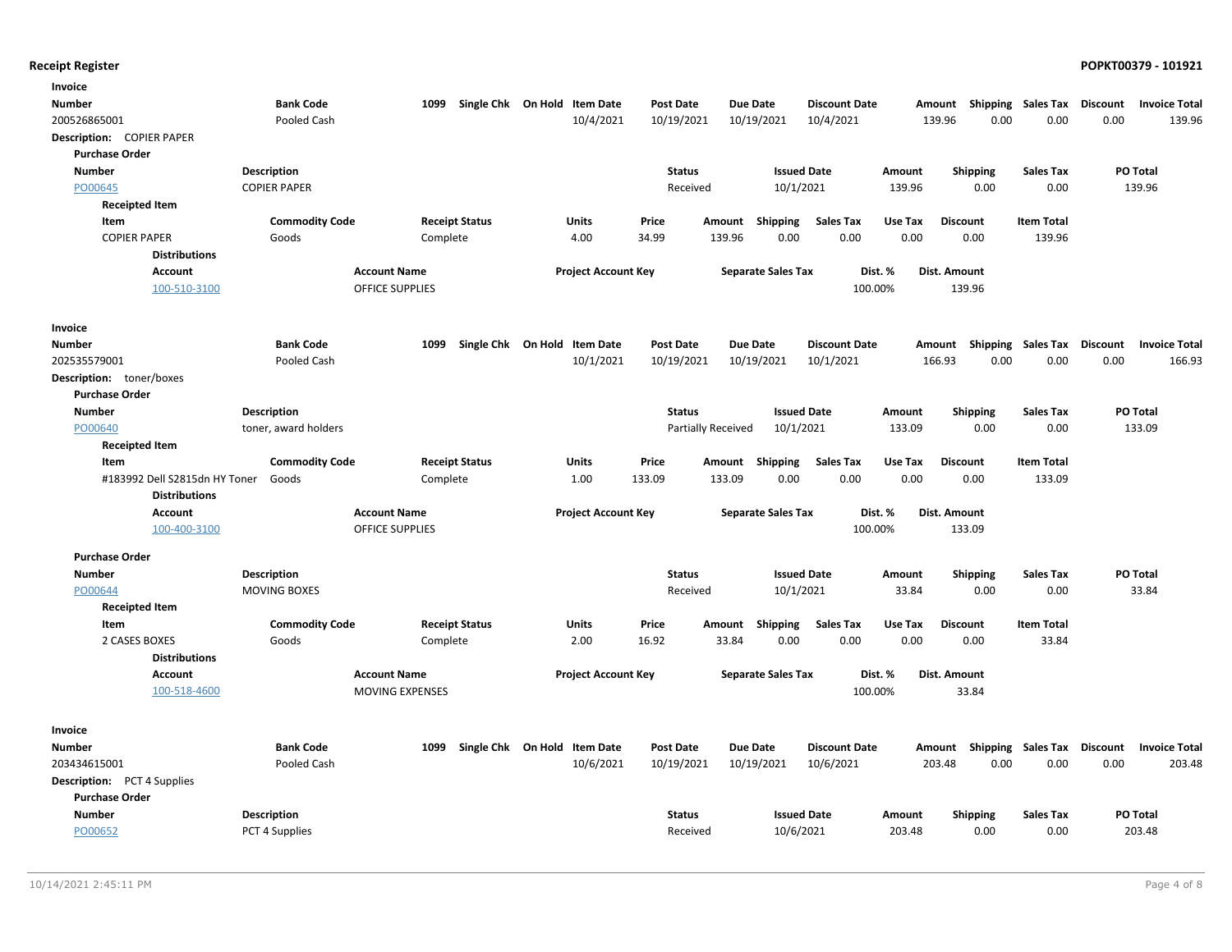| Invoice                            |                       |                        |                              |                            |                  |                    |                           |                      |         |                 |                   |                 |                      |
|------------------------------------|-----------------------|------------------------|------------------------------|----------------------------|------------------|--------------------|---------------------------|----------------------|---------|-----------------|-------------------|-----------------|----------------------|
| Number                             | <b>Bank Code</b>      | 1099                   | Single Chk On Hold Item Date |                            | <b>Post Date</b> | Due Date           |                           | <b>Discount Date</b> | Amount  | Shipping        | Sales Tax         | <b>Discount</b> | <b>Invoice Total</b> |
| 200526865001                       | Pooled Cash           |                        |                              | 10/4/2021                  | 10/19/2021       |                    | 10/19/2021                | 10/4/2021            | 139.96  | 0.00            | 0.00              | 0.00            | 139.96               |
| Description: COPIER PAPER          |                       |                        |                              |                            |                  |                    |                           |                      |         |                 |                   |                 |                      |
| <b>Purchase Order</b>              |                       |                        |                              |                            |                  |                    |                           |                      |         |                 |                   |                 |                      |
| <b>Number</b>                      | <b>Description</b>    |                        |                              |                            | <b>Status</b>    |                    | <b>Issued Date</b>        |                      | Amount  | Shipping        | <b>Sales Tax</b>  |                 | PO Total             |
| PO00645                            | <b>COPIER PAPER</b>   |                        |                              |                            | Received         |                    | 10/1/2021                 |                      | 139.96  | 0.00            | 0.00              |                 | 139.96               |
| <b>Receipted Item</b>              |                       |                        |                              |                            |                  |                    |                           |                      |         |                 |                   |                 |                      |
| Item                               | <b>Commodity Code</b> |                        | <b>Receipt Status</b>        | Units                      | Price            | Amount             | Shipping                  | Sales Tax            | Use Tax | <b>Discount</b> | <b>Item Total</b> |                 |                      |
| <b>COPIER PAPER</b>                | Goods                 |                        | Complete                     | 4.00                       | 34.99            | 139.96             | 0.00                      | 0.00                 | 0.00    | 0.00            | 139.96            |                 |                      |
| <b>Distributions</b>               |                       |                        |                              |                            |                  |                    |                           |                      |         |                 |                   |                 |                      |
| Account                            |                       | <b>Account Name</b>    |                              | <b>Project Account Key</b> |                  |                    | <b>Separate Sales Tax</b> | Dist. %              |         | Dist. Amount    |                   |                 |                      |
| 100-510-3100                       |                       | <b>OFFICE SUPPLIES</b> |                              |                            |                  |                    |                           | 100.00%              |         | 139.96          |                   |                 |                      |
| Invoice                            |                       |                        |                              |                            |                  |                    |                           |                      |         |                 |                   |                 |                      |
| Number                             | <b>Bank Code</b>      | 1099                   | Single Chk On Hold Item Date |                            | <b>Post Date</b> | <b>Due Date</b>    |                           | <b>Discount Date</b> | Amount  | Shipping        | Sales Tax         | Discount        | <b>Invoice Total</b> |
| 202535579001                       | Pooled Cash           |                        |                              | 10/1/2021                  | 10/19/2021       |                    | 10/19/2021                | 10/1/2021            | 166.93  | 0.00            | 0.00              | 0.00            | 166.93               |
| Description: toner/boxes           |                       |                        |                              |                            |                  |                    |                           |                      |         |                 |                   |                 |                      |
| <b>Purchase Order</b>              |                       |                        |                              |                            |                  |                    |                           |                      |         |                 |                   |                 |                      |
| <b>Number</b>                      | Description           |                        |                              |                            | <b>Status</b>    |                    | <b>Issued Date</b>        |                      | Amount  | <b>Shipping</b> | <b>Sales Tax</b>  |                 | PO Total             |
| PO00640                            | toner, award holders  |                        |                              |                            |                  | Partially Received | 10/1/2021                 |                      | 133.09  | 0.00            | 0.00              |                 | 133.09               |
| <b>Receipted Item</b>              |                       |                        |                              |                            |                  |                    |                           |                      |         |                 |                   |                 |                      |
| Item                               | <b>Commodity Code</b> |                        | <b>Receipt Status</b>        | Units                      | Price            | Amount             | Shipping                  | <b>Sales Tax</b>     | Use Tax | <b>Discount</b> | <b>Item Total</b> |                 |                      |
| #183992 Dell S2815dn HY Toner      | Goods                 |                        | Complete                     | 1.00                       | 133.09           | 133.09             | 0.00                      | 0.00                 | 0.00    | 0.00            | 133.09            |                 |                      |
| <b>Distributions</b>               |                       |                        |                              |                            |                  |                    |                           |                      |         |                 |                   |                 |                      |
| Account                            |                       | <b>Account Name</b>    |                              | <b>Project Account Key</b> |                  |                    | <b>Separate Sales Tax</b> | Dist. %              |         | Dist. Amount    |                   |                 |                      |
| 100-400-3100                       |                       | <b>OFFICE SUPPLIES</b> |                              |                            |                  |                    |                           | 100.00%              |         | 133.09          |                   |                 |                      |
| <b>Purchase Order</b>              |                       |                        |                              |                            |                  |                    |                           |                      |         |                 |                   |                 |                      |
| <b>Number</b>                      | Description           |                        |                              |                            | <b>Status</b>    |                    | <b>Issued Date</b>        |                      | Amount  | <b>Shipping</b> | <b>Sales Tax</b>  |                 | <b>PO Total</b>      |
| PO00644                            | <b>MOVING BOXES</b>   |                        |                              |                            | Received         |                    | 10/1/2021                 |                      | 33.84   | 0.00            | 0.00              |                 | 33.84                |
| <b>Receipted Item</b>              |                       |                        |                              |                            |                  |                    |                           |                      |         |                 |                   |                 |                      |
| Item                               | <b>Commodity Code</b> |                        | <b>Receipt Status</b>        | Units                      | Price            | Amount             | Shipping                  | <b>Sales Tax</b>     | Use Tax | <b>Discount</b> | <b>Item Total</b> |                 |                      |
| 2 CASES BOXES                      | Goods                 |                        | Complete                     | 2.00                       | 16.92            | 33.84              | 0.00                      | 0.00                 | 0.00    | 0.00            | 33.84             |                 |                      |
| <b>Distributions</b>               |                       |                        |                              |                            |                  |                    |                           |                      |         |                 |                   |                 |                      |
| Account                            |                       | <b>Account Name</b>    |                              | <b>Project Account Key</b> |                  |                    | <b>Separate Sales Tax</b> | Dist. %              |         | Dist. Amount    |                   |                 |                      |
| 100-518-4600                       |                       | <b>MOVING EXPENSES</b> |                              |                            |                  |                    |                           | 100.00%              |         | 33.84           |                   |                 |                      |
| Invoice                            |                       |                        |                              |                            |                  |                    |                           |                      |         |                 |                   |                 |                      |
| Number                             | <b>Bank Code</b>      | 1099                   | Single Chk On Hold Item Date |                            | <b>Post Date</b> | <b>Due Date</b>    |                           | <b>Discount Date</b> |         | Amount Shipping | Sales Tax         | <b>Discount</b> | <b>Invoice Total</b> |
| 203434615001                       | Pooled Cash           |                        |                              | 10/6/2021                  | 10/19/2021       |                    | 10/19/2021                | 10/6/2021            | 203.48  | 0.00            | 0.00              | 0.00            | 203.48               |
| <b>Description:</b> PCT 4 Supplies |                       |                        |                              |                            |                  |                    |                           |                      |         |                 |                   |                 |                      |
| <b>Purchase Order</b>              |                       |                        |                              |                            |                  |                    |                           |                      |         |                 |                   |                 |                      |
| <b>Number</b>                      | Description           |                        |                              |                            | <b>Status</b>    |                    | <b>Issued Date</b>        |                      | Amount  | <b>Shipping</b> | <b>Sales Tax</b>  |                 | <b>PO Total</b>      |
| PO00652                            | PCT 4 Supplies        |                        |                              |                            | Received         |                    | 10/6/2021                 |                      | 203.48  | 0.00            | 0.00              |                 | 203.48               |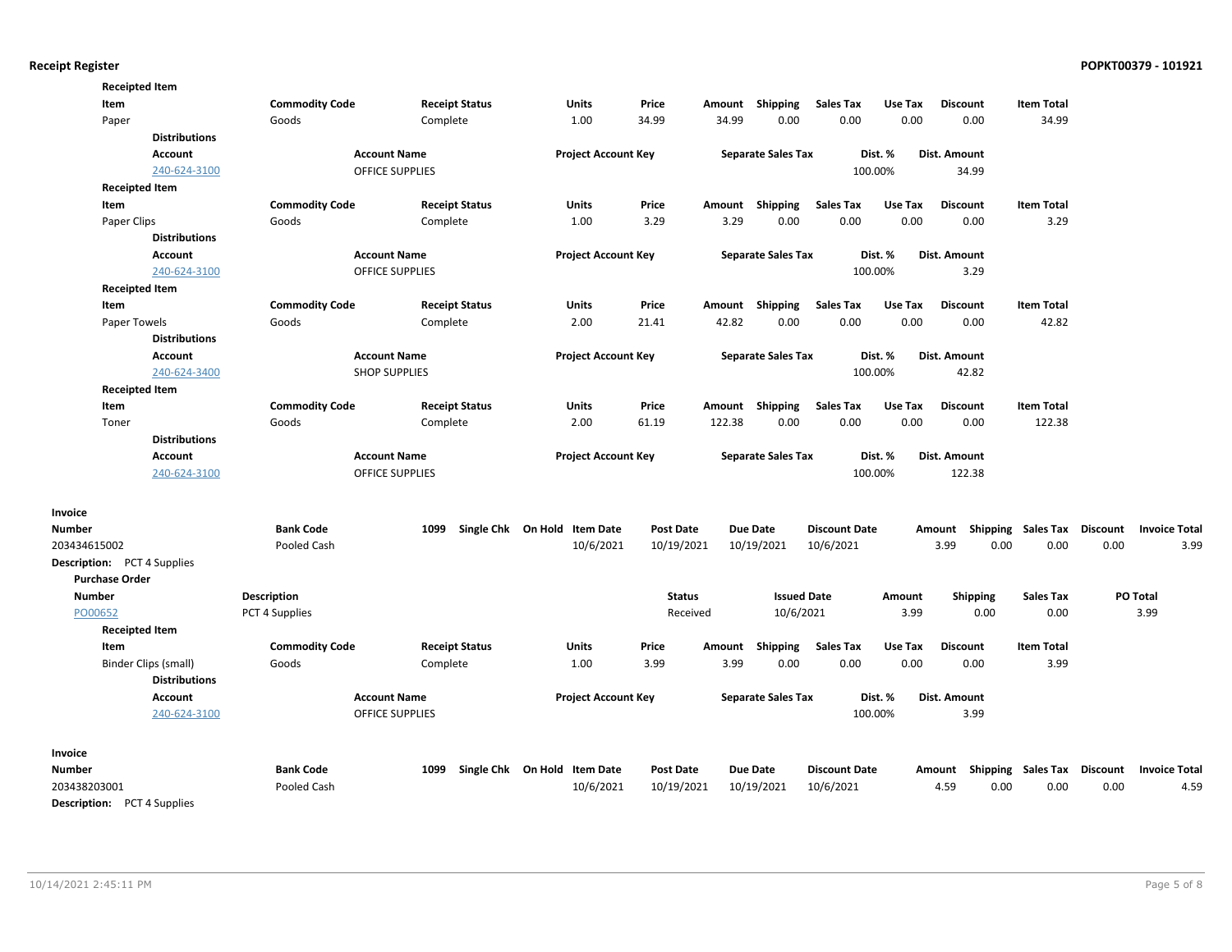| <b>Receipted Item</b>              |                      |                       |                        |                              |                  |        |                           |                      |         |                 |                                    |      |                      |
|------------------------------------|----------------------|-----------------------|------------------------|------------------------------|------------------|--------|---------------------------|----------------------|---------|-----------------|------------------------------------|------|----------------------|
| Item                               |                      | <b>Commodity Code</b> | <b>Receipt Status</b>  | Units                        | Price            | Amount | <b>Shipping</b>           | <b>Sales Tax</b>     | Use Tax | <b>Discount</b> | <b>Item Total</b>                  |      |                      |
| Paper                              |                      | Goods                 | Complete               | 1.00                         | 34.99            | 34.99  | 0.00                      | 0.00                 | 0.00    | 0.00            | 34.99                              |      |                      |
|                                    | <b>Distributions</b> |                       |                        |                              |                  |        |                           |                      |         |                 |                                    |      |                      |
|                                    | <b>Account</b>       |                       | <b>Account Name</b>    | <b>Project Account Key</b>   |                  |        | <b>Separate Sales Tax</b> |                      | Dist. % | Dist. Amount    |                                    |      |                      |
|                                    | 240-624-3100         |                       | <b>OFFICE SUPPLIES</b> |                              |                  |        |                           |                      | 100.00% | 34.99           |                                    |      |                      |
| <b>Receipted Item</b>              |                      |                       |                        |                              |                  |        |                           |                      |         |                 |                                    |      |                      |
| Item                               |                      | <b>Commodity Code</b> | <b>Receipt Status</b>  | <b>Units</b>                 | Price            | Amount | Shipping                  | <b>Sales Tax</b>     | Use Tax | <b>Discount</b> | <b>Item Total</b>                  |      |                      |
| Paper Clips                        |                      | Goods                 | Complete               | 1.00                         | 3.29             | 3.29   | 0.00                      | 0.00                 | 0.00    | 0.00            | 3.29                               |      |                      |
|                                    | <b>Distributions</b> |                       |                        |                              |                  |        |                           |                      |         |                 |                                    |      |                      |
|                                    | Account              |                       | <b>Account Name</b>    | <b>Project Account Key</b>   |                  |        | <b>Separate Sales Tax</b> |                      | Dist. % | Dist. Amount    |                                    |      |                      |
|                                    | 240-624-3100         |                       | <b>OFFICE SUPPLIES</b> |                              |                  |        |                           |                      | 100.00% | 3.29            |                                    |      |                      |
| <b>Receipted Item</b>              |                      |                       |                        |                              |                  |        |                           |                      |         |                 |                                    |      |                      |
| Item                               |                      | <b>Commodity Code</b> | <b>Receipt Status</b>  | Units                        | Price            |        | Amount Shipping           | <b>Sales Tax</b>     | Use Tax | <b>Discount</b> | <b>Item Total</b>                  |      |                      |
| Paper Towels                       |                      | Goods                 | Complete               | 2.00                         | 21.41            | 42.82  | 0.00                      | 0.00                 | 0.00    | 0.00            | 42.82                              |      |                      |
|                                    | <b>Distributions</b> |                       |                        |                              |                  |        |                           |                      |         |                 |                                    |      |                      |
|                                    | <b>Account</b>       |                       | <b>Account Name</b>    | <b>Project Account Key</b>   |                  |        | <b>Separate Sales Tax</b> |                      | Dist. % | Dist. Amount    |                                    |      |                      |
|                                    | 240-624-3400         |                       | <b>SHOP SUPPLIES</b>   |                              |                  |        |                           |                      | 100.00% | 42.82           |                                    |      |                      |
| <b>Receipted Item</b>              |                      |                       |                        |                              |                  |        |                           |                      |         |                 |                                    |      |                      |
| Item                               |                      | <b>Commodity Code</b> | <b>Receipt Status</b>  | Units                        | Price            |        | Amount Shipping           | <b>Sales Tax</b>     | Use Tax | <b>Discount</b> | <b>Item Total</b>                  |      |                      |
| Toner                              |                      | Goods                 | Complete               | 2.00                         | 61.19            | 122.38 | 0.00                      | 0.00                 | 0.00    | 0.00            | 122.38                             |      |                      |
|                                    | <b>Distributions</b> |                       |                        |                              |                  |        |                           |                      |         |                 |                                    |      |                      |
|                                    | <b>Account</b>       |                       | <b>Account Name</b>    | <b>Project Account Key</b>   |                  |        | <b>Separate Sales Tax</b> |                      | Dist. % | Dist. Amount    |                                    |      |                      |
|                                    | 240-624-3100         |                       | <b>OFFICE SUPPLIES</b> |                              |                  |        |                           |                      | 100.00% | 122.38          |                                    |      |                      |
|                                    |                      |                       |                        |                              |                  |        |                           |                      |         |                 |                                    |      |                      |
| Invoice                            |                      |                       |                        |                              |                  |        |                           |                      |         |                 |                                    |      |                      |
| <b>Number</b>                      |                      | <b>Bank Code</b>      | 1099                   | Single Chk On Hold Item Date | <b>Post Date</b> |        | <b>Due Date</b>           | <b>Discount Date</b> |         |                 | Amount Shipping Sales Tax Discount |      | <b>Invoice Total</b> |
| 203434615002                       |                      | Pooled Cash           |                        | 10/6/2021                    | 10/19/2021       |        | 10/19/2021                | 10/6/2021            |         | 3.99            | 0.00<br>0.00                       | 0.00 | 3.99                 |
| <b>Description:</b> PCT 4 Supplies |                      |                       |                        |                              |                  |        |                           |                      |         |                 |                                    |      |                      |
| <b>Purchase Order</b>              |                      |                       |                        |                              |                  |        |                           |                      |         |                 |                                    |      |                      |
| Number                             |                      | <b>Description</b>    |                        |                              | <b>Status</b>    |        | <b>Issued Date</b>        |                      | Amount  | <b>Shipping</b> | <b>Sales Tax</b>                   |      | PO Total             |
| PO00652                            |                      | PCT 4 Supplies        |                        |                              | Received         |        | 10/6/2021                 |                      | 3.99    | 0.00            | 0.00                               |      | 3.99                 |
| <b>Receipted Item</b>              |                      |                       |                        |                              |                  |        |                           |                      |         |                 |                                    |      |                      |
| Item                               |                      | <b>Commodity Code</b> | <b>Receipt Status</b>  | Units                        | Price            | Amount | Shipping                  | <b>Sales Tax</b>     | Use Tax | <b>Discount</b> | <b>Item Total</b>                  |      |                      |
| Binder Clips (small)               |                      | Goods                 | Complete               | 1.00                         | 3.99             | 3.99   | 0.00                      | 0.00                 | 0.00    | 0.00            | 3.99                               |      |                      |
|                                    | <b>Distributions</b> |                       |                        |                              |                  |        |                           |                      |         |                 |                                    |      |                      |
|                                    | Account              |                       | <b>Account Name</b>    | <b>Project Account Key</b>   |                  |        | <b>Separate Sales Tax</b> |                      | Dist. % | Dist. Amount    |                                    |      |                      |
|                                    | 240-624-3100         |                       | <b>OFFICE SUPPLIES</b> |                              |                  |        |                           |                      | 100.00% | 3.99            |                                    |      |                      |
|                                    |                      |                       |                        |                              |                  |        |                           |                      |         |                 |                                    |      |                      |
| Invoice                            |                      |                       |                        |                              |                  |        |                           |                      |         |                 |                                    |      |                      |
| <b>Number</b>                      |                      | <b>Bank Code</b>      | 1099                   | Single Chk On Hold Item Date | <b>Post Date</b> |        | <b>Due Date</b>           | <b>Discount Date</b> |         |                 | Amount Shipping Sales Tax Discount |      | <b>Invoice Total</b> |
| 203438203001                       |                      | Pooled Cash           |                        | 10/6/2021                    | 10/19/2021       |        | 10/19/2021                | 10/6/2021            |         | 4.59            | 0.00<br>0.00                       | 0.00 | 4.59                 |
| -- - -                             | $\ddotsc$            |                       |                        |                              |                  |        |                           |                      |         |                 |                                    |      |                      |

Description: PCT 4 Supplies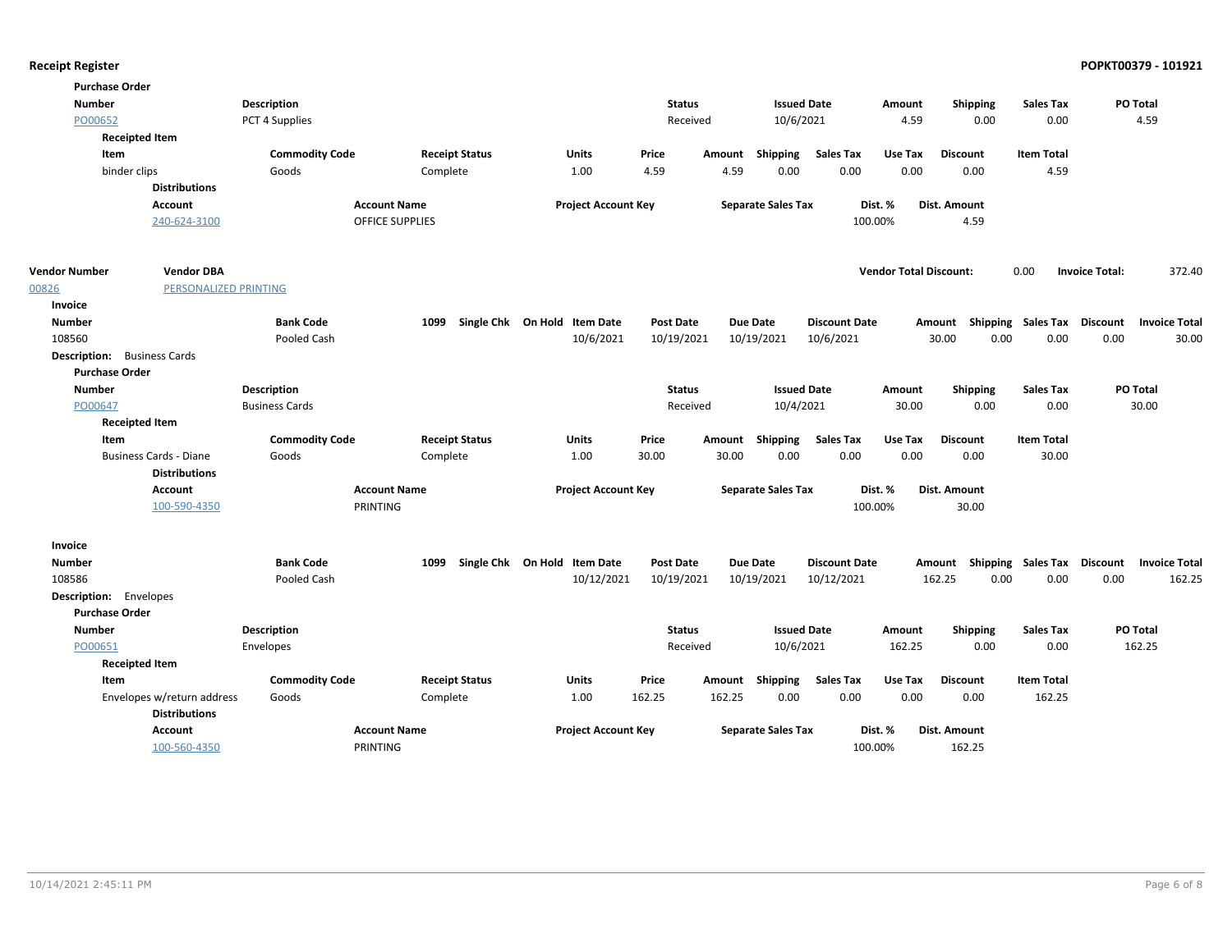| <b>Purchase Order</b>              |                                        |                       |                                 |                              |                  |        |                           |                      |                               |                                    |                             |                       |                      |
|------------------------------------|----------------------------------------|-----------------------|---------------------------------|------------------------------|------------------|--------|---------------------------|----------------------|-------------------------------|------------------------------------|-----------------------------|-----------------------|----------------------|
| <b>Number</b>                      |                                        | <b>Description</b>    |                                 |                              | <b>Status</b>    |        | <b>Issued Date</b>        |                      | Amount                        | <b>Shipping</b>                    | <b>Sales Tax</b>            |                       | PO Total             |
| PO00652                            |                                        | PCT 4 Supplies        |                                 |                              | Received         |        | 10/6/2021                 |                      | 4.59                          | 0.00                               | 0.00                        |                       | 4.59                 |
| <b>Receipted Item</b>              |                                        |                       |                                 |                              |                  |        |                           |                      |                               |                                    |                             |                       |                      |
| Item                               |                                        | <b>Commodity Code</b> | <b>Receipt Status</b>           | Units                        | Price            |        | Amount Shipping           | <b>Sales Tax</b>     | Use Tax                       | <b>Discount</b>                    | <b>Item Total</b>           |                       |                      |
| binder clips                       |                                        | Goods                 | Complete                        | 1.00                         | 4.59             | 4.59   | 0.00                      | 0.00                 | 0.00                          | 0.00                               | 4.59                        |                       |                      |
|                                    | <b>Distributions</b>                   |                       |                                 |                              |                  |        |                           |                      |                               |                                    |                             |                       |                      |
|                                    | <b>Account</b>                         |                       | <b>Account Name</b>             | <b>Project Account Key</b>   |                  |        | <b>Separate Sales Tax</b> |                      | Dist. %                       | Dist. Amount                       |                             |                       |                      |
|                                    | 240-624-3100                           |                       | <b>OFFICE SUPPLIES</b>          |                              |                  |        |                           |                      | 100.00%                       | 4.59                               |                             |                       |                      |
| <b>Vendor Number</b>               | <b>Vendor DBA</b>                      |                       |                                 |                              |                  |        |                           |                      | <b>Vendor Total Discount:</b> |                                    | 0.00                        | <b>Invoice Total:</b> | 372.40               |
| 00826                              | PERSONALIZED PRINTING                  |                       |                                 |                              |                  |        |                           |                      |                               |                                    |                             |                       |                      |
| Invoice                            |                                        |                       |                                 |                              |                  |        |                           |                      |                               |                                    |                             |                       |                      |
| <b>Number</b>                      |                                        | <b>Bank Code</b>      | 1099                            | Single Chk On Hold Item Date | <b>Post Date</b> |        | <b>Due Date</b>           | <b>Discount Date</b> |                               | Amount                             | Shipping Sales Tax Discount |                       | <b>Invoice Total</b> |
| 108560                             |                                        | Pooled Cash           |                                 | 10/6/2021                    | 10/19/2021       |        | 10/19/2021                | 10/6/2021            |                               | 0.00<br>30.00                      | 0.00                        | 0.00                  | 30.00                |
| <b>Description:</b> Business Cards |                                        |                       |                                 |                              |                  |        |                           |                      |                               |                                    |                             |                       |                      |
| <b>Purchase Order</b>              |                                        |                       |                                 |                              |                  |        |                           |                      |                               |                                    |                             |                       |                      |
| <b>Number</b>                      |                                        | <b>Description</b>    |                                 |                              | <b>Status</b>    |        | <b>Issued Date</b>        |                      | Amount                        | Shipping                           | <b>Sales Tax</b>            |                       | PO Total             |
| PO00647                            |                                        | <b>Business Cards</b> |                                 |                              | Received         |        | 10/4/2021                 |                      | 30.00                         | 0.00                               | 0.00                        |                       | 30.00                |
| <b>Receipted Item</b>              |                                        |                       |                                 |                              |                  |        |                           |                      |                               |                                    |                             |                       |                      |
| Item                               |                                        | <b>Commodity Code</b> | <b>Receipt Status</b>           | <b>Units</b>                 | Price            |        | Amount Shipping           | <b>Sales Tax</b>     | Use Tax                       | <b>Discount</b>                    | <b>Item Total</b>           |                       |                      |
|                                    | <b>Business Cards - Diane</b>          | Goods                 | Complete                        | 1.00                         | 30.00            | 30.00  | 0.00                      | 0.00                 | 0.00                          | 0.00                               | 30.00                       |                       |                      |
|                                    | <b>Distributions</b>                   |                       |                                 |                              |                  |        |                           |                      |                               |                                    |                             |                       |                      |
|                                    | <b>Account</b><br>100-590-4350         |                       | <b>Account Name</b><br>PRINTING | <b>Project Account Key</b>   |                  |        | <b>Separate Sales Tax</b> |                      | Dist. %<br>100.00%            | Dist. Amount<br>30.00              |                             |                       |                      |
|                                    |                                        |                       |                                 |                              |                  |        |                           |                      |                               |                                    |                             |                       |                      |
| Invoice                            |                                        |                       |                                 |                              |                  |        |                           |                      |                               |                                    |                             |                       |                      |
| Number                             |                                        | <b>Bank Code</b>      | 1099                            | Single Chk On Hold Item Date | <b>Post Date</b> |        | <b>Due Date</b>           | <b>Discount Date</b> |                               | Amount Shipping Sales Tax Discount |                             |                       | <b>Invoice Total</b> |
| 108586                             |                                        | Pooled Cash           |                                 | 10/12/2021                   | 10/19/2021       |        | 10/19/2021                | 10/12/2021           |                               | 0.00<br>162.25                     | 0.00                        | 0.00                  | 162.25               |
| <b>Description:</b> Envelopes      |                                        |                       |                                 |                              |                  |        |                           |                      |                               |                                    |                             |                       |                      |
| <b>Purchase Order</b>              |                                        |                       |                                 |                              |                  |        |                           |                      |                               |                                    |                             |                       |                      |
| <b>Number</b>                      |                                        | <b>Description</b>    |                                 |                              | <b>Status</b>    |        | <b>Issued Date</b>        |                      | Amount                        | Shipping                           | <b>Sales Tax</b>            |                       | PO Total             |
| PO00651                            |                                        | Envelopes             |                                 |                              | Received         |        | 10/6/2021                 |                      | 162.25                        | 0.00                               | 0.00                        |                       | 162.25               |
| <b>Receipted Item</b>              |                                        |                       |                                 |                              |                  |        |                           |                      |                               |                                    |                             |                       |                      |
| Item                               |                                        | <b>Commodity Code</b> | <b>Receipt Status</b>           | Units                        | Price            |        | Amount Shipping           | <b>Sales Tax</b>     | Use Tax                       | <b>Discount</b>                    | <b>Item Total</b>           |                       |                      |
|                                    | Envelopes w/return address             | Goods                 | Complete                        | 1.00                         | 162.25           | 162.25 | 0.00                      | 0.00                 | 0.00                          | 0.00                               | 162.25                      |                       |                      |
|                                    | <b>Distributions</b><br><b>Account</b> |                       | <b>Account Name</b>             | <b>Project Account Key</b>   |                  |        | <b>Separate Sales Tax</b> |                      | Dist. %                       | <b>Dist. Amount</b>                |                             |                       |                      |
|                                    | 100-560-4350                           |                       | PRINTING                        |                              |                  |        |                           |                      | 100.00%                       | 162.25                             |                             |                       |                      |
|                                    |                                        |                       |                                 |                              |                  |        |                           |                      |                               |                                    |                             |                       |                      |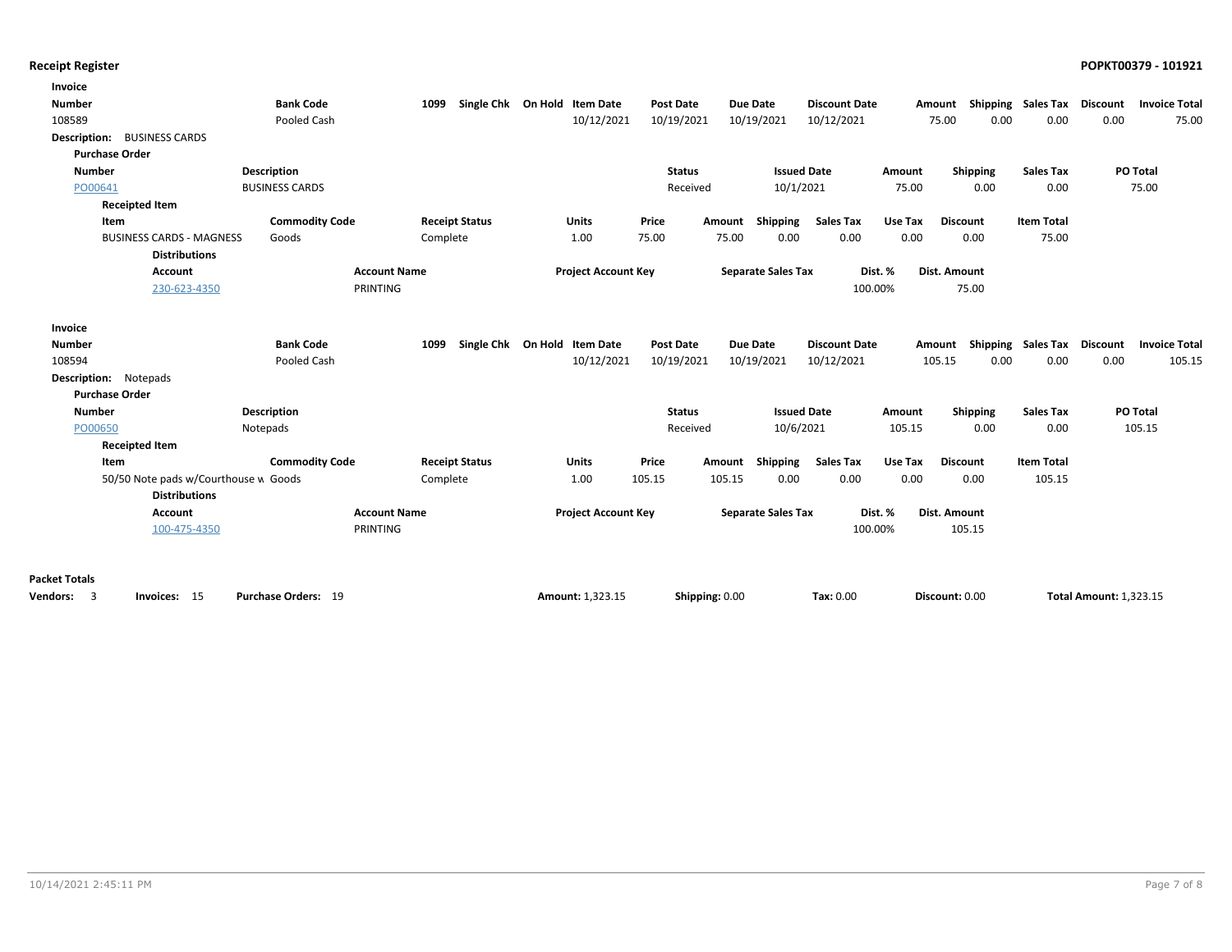| Invoice                                                     |                                      |                       |                              |                  |                           |                      |         |                 |                    |                               |                      |
|-------------------------------------------------------------|--------------------------------------|-----------------------|------------------------------|------------------|---------------------------|----------------------|---------|-----------------|--------------------|-------------------------------|----------------------|
| <b>Number</b>                                               | <b>Bank Code</b>                     | 1099                  | Single Chk On Hold Item Date | <b>Post Date</b> | <b>Due Date</b>           | <b>Discount Date</b> |         | Amount          | Shipping Sales Tax | Discount                      | <b>Invoice Total</b> |
| 108589                                                      | Pooled Cash                          |                       | 10/12/2021                   | 10/19/2021       | 10/19/2021                | 10/12/2021           |         | 75.00<br>0.00   | 0.00               | 0.00                          | 75.00                |
| Description: BUSINESS CARDS                                 |                                      |                       |                              |                  |                           |                      |         |                 |                    |                               |                      |
| <b>Purchase Order</b>                                       |                                      |                       |                              |                  |                           |                      |         |                 |                    |                               |                      |
| <b>Number</b>                                               | <b>Description</b>                   |                       |                              | <b>Status</b>    |                           | <b>Issued Date</b>   | Amount  | Shipping        | <b>Sales Tax</b>   |                               | PO Total             |
| PO00641                                                     | <b>BUSINESS CARDS</b>                |                       |                              | Received         | 10/1/2021                 |                      | 75.00   | 0.00            | 0.00               |                               | 75.00                |
| <b>Receipted Item</b>                                       |                                      |                       |                              |                  |                           |                      |         |                 |                    |                               |                      |
| Item                                                        | <b>Commodity Code</b>                | <b>Receipt Status</b> | Units                        | Price<br>Amount  | Shipping                  | <b>Sales Tax</b>     | Use Tax | <b>Discount</b> | <b>Item Total</b>  |                               |                      |
| <b>BUSINESS CARDS - MAGNESS</b>                             | Goods                                | Complete              | 1.00                         | 75.00<br>75.00   | 0.00                      | 0.00                 | 0.00    | 0.00            | 75.00              |                               |                      |
| <b>Distributions</b>                                        |                                      |                       |                              |                  |                           |                      |         |                 |                    |                               |                      |
| <b>Account</b>                                              | <b>Account Name</b>                  |                       | <b>Project Account Key</b>   |                  | <b>Separate Sales Tax</b> |                      | Dist. % | Dist. Amount    |                    |                               |                      |
| 230-623-4350                                                | PRINTING                             |                       |                              |                  |                           | 100.00%              |         | 75.00           |                    |                               |                      |
|                                                             |                                      |                       |                              |                  |                           |                      |         |                 |                    |                               |                      |
| Invoice                                                     |                                      |                       |                              |                  |                           |                      |         |                 |                    |                               |                      |
| <b>Number</b>                                               | <b>Bank Code</b>                     | 1099                  | Single Chk On Hold Item Date | <b>Post Date</b> | Due Date                  | <b>Discount Date</b> |         | Amount          | Shipping Sales Tax | Discount                      | <b>Invoice Total</b> |
| 108594                                                      | Pooled Cash                          |                       | 10/12/2021                   | 10/19/2021       | 10/19/2021                | 10/12/2021           |         | 0.00<br>105.15  | 0.00               | 0.00                          | 105.15               |
| <b>Description:</b> Notepads                                |                                      |                       |                              |                  |                           |                      |         |                 |                    |                               |                      |
| <b>Purchase Order</b>                                       |                                      |                       |                              |                  |                           |                      |         |                 |                    |                               |                      |
| <b>Number</b>                                               | <b>Description</b>                   |                       |                              | <b>Status</b>    |                           | <b>Issued Date</b>   | Amount  | <b>Shipping</b> | <b>Sales Tax</b>   |                               | PO Total             |
| PO00650                                                     | Notepads                             |                       |                              | Received         | 10/6/2021                 |                      | 105.15  | 0.00            | 0.00               |                               | 105.15               |
| <b>Receipted Item</b>                                       |                                      |                       |                              |                  |                           |                      |         |                 |                    |                               |                      |
| Item                                                        | <b>Commodity Code</b>                | <b>Receipt Status</b> | <b>Units</b>                 | Price<br>Amount  | Shipping                  | <b>Sales Tax</b>     | Use Tax | <b>Discount</b> | <b>Item Total</b>  |                               |                      |
|                                                             | 50/50 Note pads w/Courthouse w Goods | Complete              | 1.00                         | 105.15<br>105.15 | 0.00                      | 0.00                 | 0.00    | 0.00            | 105.15             |                               |                      |
| <b>Distributions</b>                                        |                                      |                       |                              |                  |                           |                      |         |                 |                    |                               |                      |
| <b>Account</b>                                              | <b>Account Name</b>                  |                       | <b>Project Account Key</b>   |                  | <b>Separate Sales Tax</b> |                      | Dist. % | Dist. Amount    |                    |                               |                      |
| 100-475-4350                                                | PRINTING                             |                       |                              |                  |                           | 100.00%              |         | 105.15          |                    |                               |                      |
|                                                             |                                      |                       |                              |                  |                           |                      |         |                 |                    |                               |                      |
|                                                             |                                      |                       |                              |                  |                           |                      |         |                 |                    |                               |                      |
| <b>Packet Totals</b>                                        |                                      |                       |                              |                  |                           |                      |         |                 |                    |                               |                      |
| $\overline{\phantom{a}}$<br>Invoices: 15<br><b>Vendors:</b> | Purchase Orders: 19                  |                       | Amount: 1.323.15             | Shipping: 0.00   |                           | Tax: 0.00            |         | Discount: 0.00  |                    | <b>Total Amount: 1.323.15</b> |                      |